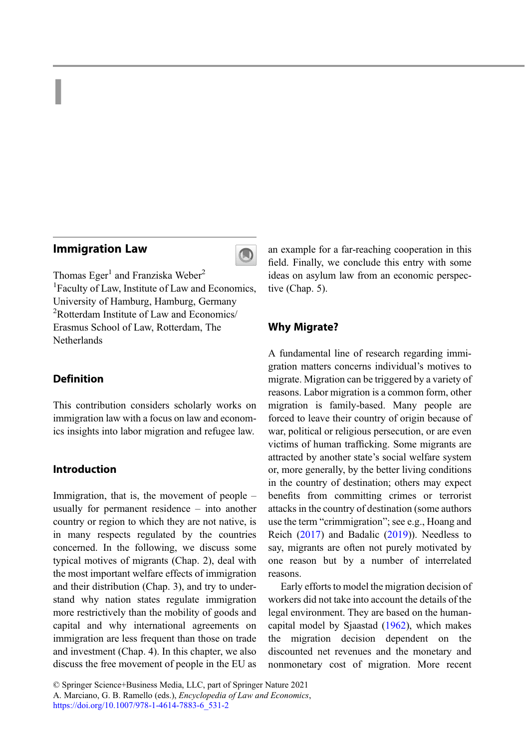# Immigration Law

I



Thomas Eger<sup>1</sup> and Franziska Weber<sup>2</sup> <sup>1</sup>Faculty of Law, Institute of Law and Economics, University of Hamburg, Hamburg, Germany <sup>2</sup>Rotterdam Institute of Law and Economics/ Erasmus School of Law, Rotterdam, The **Netherlands** 

# Definition

This contribution considers scholarly works on immigration law with a focus on law and economics insights into labor migration and refugee law.

# Introduction

Immigration, that is, the movement of people – usually for permanent residence – into another country or region to which they are not native, is in many respects regulated by the countries concerned. In the following, we discuss some typical motives of migrants (Chap. 2), deal with the most important welfare effects of immigration and their distribution (Chap. 3), and try to understand why nation states regulate immigration more restrictively than the mobility of goods and capital and why international agreements on immigration are less frequent than those on trade and investment (Chap. 4). In this chapter, we also discuss the free movement of people in the EU as an example for a far-reaching cooperation in this field. Finally, we conclude this entry with some ideas on asylum law from an economic perspective (Chap. 5).

# Why Migrate?

A fundamental line of research regarding immigration matters concerns individual's motives to migrate. Migration can be triggered by a variety of reasons. Labor migration is a common form, other migration is family-based. Many people are forced to leave their country of origin because of war, political or religious persecution, or are even victims of human trafficking. Some migrants are attracted by another state's social welfare system or, more generally, by the better living conditions in the country of destination; others may expect benefits from committing crimes or terrorist attacks in the country of destination (some authors use the term "crimmigration"; see e.g., Hoang and Reich ([2017\)](#page-9-0) and Badalic ([2019\)](#page-8-0)). Needless to say, migrants are often not purely motivated by one reason but by a number of interrelated reasons.

Early efforts to model the migration decision of workers did not take into account the details of the legal environment. They are based on the humancapital model by Sjaastad ([1962\)](#page-9-0), which makes the migration decision dependent on the discounted net revenues and the monetary and nonmonetary cost of migration. More recent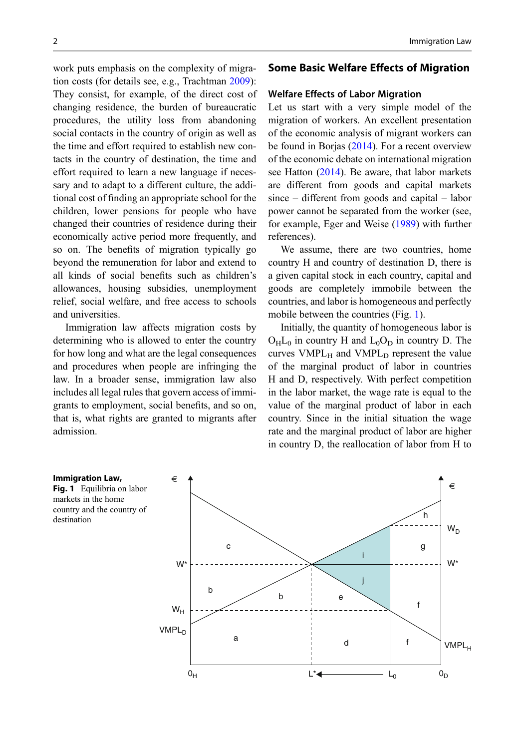work puts emphasis on the complexity of migration costs (for details see, e.g., Trachtman [2009\)](#page-9-0): They consist, for example, of the direct cost of changing residence, the burden of bureaucratic procedures, the utility loss from abandoning social contacts in the country of origin as well as the time and effort required to establish new contacts in the country of destination, the time and effort required to learn a new language if necessary and to adapt to a different culture, the additional cost of finding an appropriate school for the children, lower pensions for people who have changed their countries of residence during their economically active period more frequently, and so on. The benefits of migration typically go beyond the remuneration for labor and extend to all kinds of social benefits such as children's allowances, housing subsidies, unemployment relief, social welfare, and free access to schools and universities.

Immigration law affects migration costs by determining who is allowed to enter the country for how long and what are the legal consequences and procedures when people are infringing the law. In a broader sense, immigration law also includes all legal rules that govern access of immigrants to employment, social benefits, and so on, that is, what rights are granted to migrants after admission.

## Some Basic Welfare Effects of Migration

### Welfare Effects of Labor Migration

Let us start with a very simple model of the migration of workers. An excellent presentation of the economic analysis of migrant workers can be found in Borjas [\(2014](#page-8-0)). For a recent overview of the economic debate on international migration see Hatton ([2014](#page-9-0)). Be aware, that labor markets are different from goods and capital markets since – different from goods and capital – labor power cannot be separated from the worker (see, for example, Eger and Weise [\(1989](#page-9-0)) with further references).

We assume, there are two countries, home country H and country of destination D, there is a given capital stock in each country, capital and goods are completely immobile between the countries, and labor is homogeneous and perfectly mobile between the countries (Fig. 1).

Initially, the quantity of homogeneous labor is  $O_HL_0$  in country H and  $L_0O_D$  in country D. The curves  $VMPL<sub>H</sub>$  and  $VMPL<sub>D</sub>$  represent the value of the marginal product of labor in countries H and D, respectively. With perfect competition in the labor market, the wage rate is equal to the value of the marginal product of labor in each country. Since in the initial situation the wage rate and the marginal product of labor are higher in country D, the reallocation of labor from H to

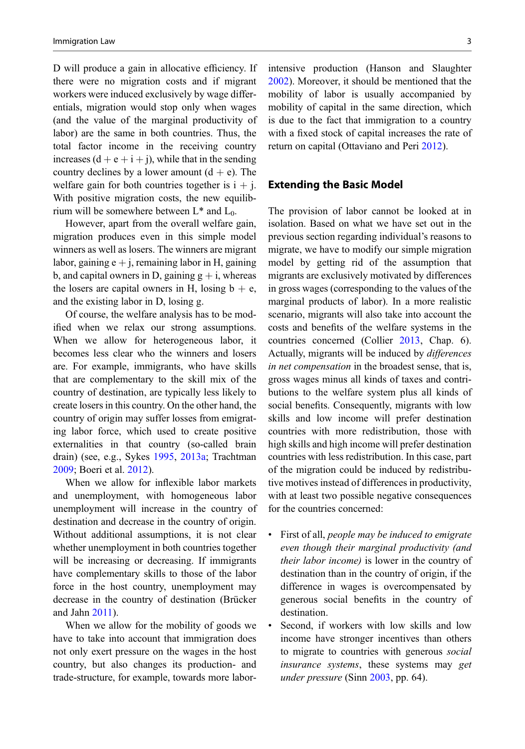D will produce a gain in allocative efficiency. If there were no migration costs and if migrant workers were induced exclusively by wage differentials, migration would stop only when wages (and the value of the marginal productivity of labor) are the same in both countries. Thus, the total factor income in the receiving country increases  $(d + e + i + j)$ , while that in the sending country declines by a lower amount  $(d + e)$ . The welfare gain for both countries together is  $i + j$ . With positive migration costs, the new equilibrium will be somewhere between  $L^*$  and  $L_0$ .

However, apart from the overall welfare gain, migration produces even in this simple model winners as well as losers. The winners are migrant labor, gaining  $e + j$ , remaining labor in H, gaining b, and capital owners in D, gaining  $g + i$ , whereas the losers are capital owners in H, losing  $b + e$ , and the existing labor in D, losing g.

Of course, the welfare analysis has to be modified when we relax our strong assumptions. When we allow for heterogeneous labor, it becomes less clear who the winners and losers are. For example, immigrants, who have skills that are complementary to the skill mix of the country of destination, are typically less likely to create losers in this country. On the other hand, the country of origin may suffer losses from emigrating labor force, which used to create positive externalities in that country (so-called brain drain) (see, e.g., Sykes [1995,](#page-9-0) [2013a;](#page-9-0) Trachtman [2009;](#page-9-0) Boeri et al. [2012\)](#page-8-0).

When we allow for inflexible labor markets and unemployment, with homogeneous labor unemployment will increase in the country of destination and decrease in the country of origin. Without additional assumptions, it is not clear whether unemployment in both countries together will be increasing or decreasing. If immigrants have complementary skills to those of the labor force in the host country, unemployment may decrease in the country of destination (Brücker and Jahn [2011](#page-8-0)).

When we allow for the mobility of goods we have to take into account that immigration does not only exert pressure on the wages in the host country, but also changes its production- and trade-structure, for example, towards more laborintensive production (Hanson and Slaughter [2002\)](#page-9-0). Moreover, it should be mentioned that the mobility of labor is usually accompanied by mobility of capital in the same direction, which is due to the fact that immigration to a country with a fixed stock of capital increases the rate of return on capital (Ottaviano and Peri [2012](#page-9-0)).

### Extending the Basic Model

The provision of labor cannot be looked at in isolation. Based on what we have set out in the previous section regarding individual's reasons to migrate, we have to modify our simple migration model by getting rid of the assumption that migrants are exclusively motivated by differences in gross wages (corresponding to the values of the marginal products of labor). In a more realistic scenario, migrants will also take into account the costs and benefits of the welfare systems in the countries concerned (Collier [2013](#page-8-0), Chap. 6). Actually, migrants will be induced by differences in net compensation in the broadest sense, that is, gross wages minus all kinds of taxes and contributions to the welfare system plus all kinds of social benefits. Consequently, migrants with low skills and low income will prefer destination countries with more redistribution, those with high skills and high income will prefer destination countries with less redistribution. In this case, part of the migration could be induced by redistributive motives instead of differences in productivity, with at least two possible negative consequences for the countries concerned:

- First of all, people may be induced to emigrate even though their marginal productivity (and their labor income) is lower in the country of destination than in the country of origin, if the difference in wages is overcompensated by generous social benefits in the country of destination.
- Second, if workers with low skills and low income have stronger incentives than others to migrate to countries with generous social insurance systems, these systems may get under pressure (Sinn [2003,](#page-9-0) pp. 64).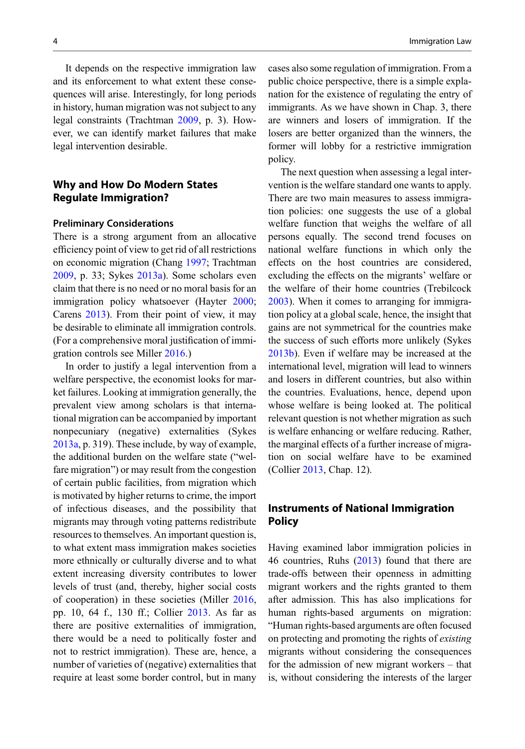It depends on the respective immigration law and its enforcement to what extent these consequences will arise. Interestingly, for long periods in history, human migration was not subject to any legal constraints (Trachtman [2009,](#page-9-0) p. 3). However, we can identify market failures that make legal intervention desirable.

## Why and How Do Modern States Regulate Immigration?

#### Preliminary Considerations

There is a strong argument from an allocative efficiency point of view to get rid of all restrictions on economic migration (Chang [1997;](#page-8-0) Trachtman [2009,](#page-9-0) p. 33; Sykes [2013a](#page-9-0)). Some scholars even claim that there is no need or no moral basis for an immigration policy whatsoever (Hayter [2000;](#page-9-0) Carens [2013](#page-8-0)). From their point of view, it may be desirable to eliminate all immigration controls. (For a comprehensive moral justification of immigration controls see Miller [2016](#page-9-0).)

In order to justify a legal intervention from a welfare perspective, the economist looks for market failures. Looking at immigration generally, the prevalent view among scholars is that international migration can be accompanied by important nonpecuniary (negative) externalities (Sykes [2013a](#page-9-0), p. 319). These include, by way of example, the additional burden on the welfare state ("welfare migration") or may result from the congestion of certain public facilities, from migration which is motivated by higher returns to crime, the import of infectious diseases, and the possibility that migrants may through voting patterns redistribute resources to themselves. An important question is, to what extent mass immigration makes societies more ethnically or culturally diverse and to what extent increasing diversity contributes to lower levels of trust (and, thereby, higher social costs of cooperation) in these societies (Miller [2016](#page-9-0), pp. 10, 64 f., 130 ff.; Collier [2013](#page-8-0). As far as there are positive externalities of immigration, there would be a need to politically foster and not to restrict immigration). These are, hence, a number of varieties of (negative) externalities that require at least some border control, but in many

cases also some regulation of immigration. From a public choice perspective, there is a simple explanation for the existence of regulating the entry of immigrants. As we have shown in Chap. 3, there are winners and losers of immigration. If the losers are better organized than the winners, the former will lobby for a restrictive immigration policy.

The next question when assessing a legal intervention is the welfare standard one wants to apply. There are two main measures to assess immigration policies: one suggests the use of a global welfare function that weighs the welfare of all persons equally. The second trend focuses on national welfare functions in which only the effects on the host countries are considered, excluding the effects on the migrants' welfare or the welfare of their home countries (Trebilcock [2003\)](#page-9-0). When it comes to arranging for immigration policy at a global scale, hence, the insight that gains are not symmetrical for the countries make the success of such efforts more unlikely (Sykes [2013b\)](#page-9-0). Even if welfare may be increased at the international level, migration will lead to winners and losers in different countries, but also within the countries. Evaluations, hence, depend upon whose welfare is being looked at. The political relevant question is not whether migration as such is welfare enhancing or welfare reducing. Rather, the marginal effects of a further increase of migration on social welfare have to be examined (Collier [2013](#page-8-0), Chap. 12).

## Instruments of National Immigration Policy

Having examined labor immigration policies in 46 countries, Ruhs [\(2013](#page-9-0)) found that there are trade-offs between their openness in admitting migrant workers and the rights granted to them after admission. This has also implications for human rights-based arguments on migration: "Human rights-based arguments are often focused on protecting and promoting the rights of existing migrants without considering the consequences for the admission of new migrant workers – that is, without considering the interests of the larger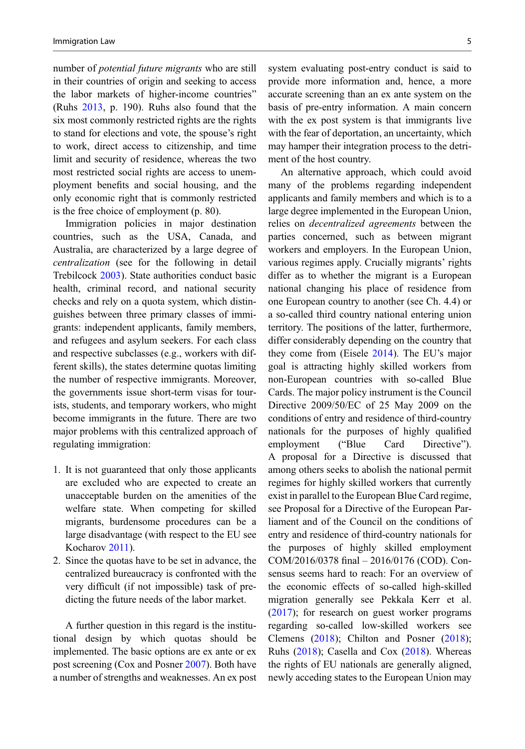number of *potential future migrants* who are still in their countries of origin and seeking to access the labor markets of higher-income countries" (Ruhs [2013](#page-9-0), p. 190). Ruhs also found that the six most commonly restricted rights are the rights to stand for elections and vote, the spouse's right to work, direct access to citizenship, and time limit and security of residence, whereas the two most restricted social rights are access to unemployment benefits and social housing, and the only economic right that is commonly restricted is the free choice of employment (p. 80).

Immigration policies in major destination countries, such as the USA, Canada, and Australia, are characterized by a large degree of centralization (see for the following in detail Trebilcock [2003](#page-9-0)). State authorities conduct basic health, criminal record, and national security checks and rely on a quota system, which distinguishes between three primary classes of immigrants: independent applicants, family members, and refugees and asylum seekers. For each class and respective subclasses (e.g., workers with different skills), the states determine quotas limiting the number of respective immigrants. Moreover, the governments issue short-term visas for tourists, students, and temporary workers, who might become immigrants in the future. There are two major problems with this centralized approach of regulating immigration:

- 1. It is not guaranteed that only those applicants are excluded who are expected to create an unacceptable burden on the amenities of the welfare state. When competing for skilled migrants, burdensome procedures can be a large disadvantage (with respect to the EU see Kocharov [2011](#page-9-0)).
- 2. Since the quotas have to be set in advance, the centralized bureaucracy is confronted with the very difficult (if not impossible) task of predicting the future needs of the labor market.

A further question in this regard is the institutional design by which quotas should be implemented. The basic options are ex ante or ex post screening (Cox and Posner [2007](#page-8-0)). Both have a number of strengths and weaknesses. An ex post system evaluating post-entry conduct is said to provide more information and, hence, a more accurate screening than an ex ante system on the basis of pre-entry information. A main concern with the ex post system is that immigrants live with the fear of deportation, an uncertainty, which may hamper their integration process to the detriment of the host country.

An alternative approach, which could avoid many of the problems regarding independent applicants and family members and which is to a large degree implemented in the European Union, relies on decentralized agreements between the parties concerned, such as between migrant workers and employers. In the European Union, various regimes apply. Crucially migrants' rights differ as to whether the migrant is a European national changing his place of residence from one European country to another (see Ch. 4.4) or a so-called third country national entering union territory. The positions of the latter, furthermore, differ considerably depending on the country that they come from (Eisele [2014](#page-9-0)). The EU's major goal is attracting highly skilled workers from non-European countries with so-called Blue Cards. The major policy instrument is the Council Directive 2009/50/EC of 25 May 2009 on the conditions of entry and residence of third-country nationals for the purposes of highly qualified employment ("Blue Card Directive"). A proposal for a Directive is discussed that among others seeks to abolish the national permit regimes for highly skilled workers that currently exist in parallel to the European Blue Card regime, see Proposal for a Directive of the European Parliament and of the Council on the conditions of entry and residence of third-country nationals for the purposes of highly skilled employment COM/2016/0378 final – 2016/0176 (COD). Consensus seems hard to reach: For an overview of the economic effects of so-called high-skilled migration generally see Pekkala Kerr et al. [\(2017](#page-9-0)); for research on guest worker programs regarding so-called low-skilled workers see Clemens [\(2018](#page-8-0)); Chilton and Posner ([2018\)](#page-8-0); Ruhs [\(2018](#page-9-0)); Casella and Cox ([2018\)](#page-8-0). Whereas the rights of EU nationals are generally aligned, newly acceding states to the European Union may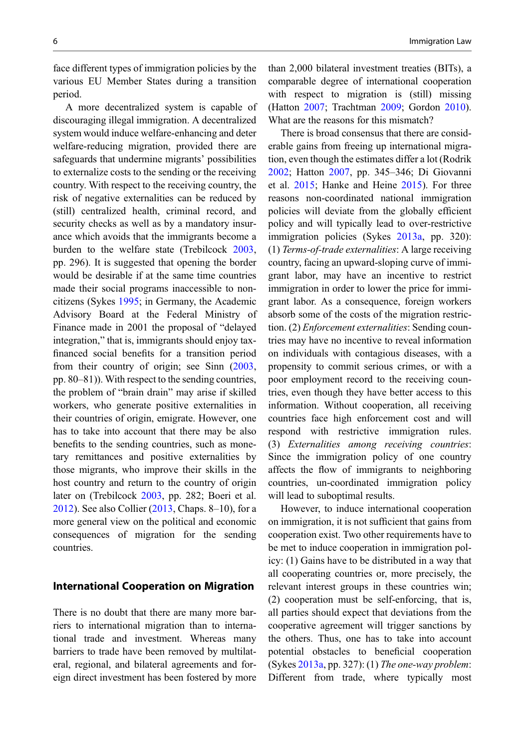face different types of immigration policies by the various EU Member States during a transition period.

A more decentralized system is capable of discouraging illegal immigration. A decentralized system would induce welfare-enhancing and deter welfare-reducing migration, provided there are safeguards that undermine migrants' possibilities to externalize costs to the sending or the receiving country. With respect to the receiving country, the risk of negative externalities can be reduced by (still) centralized health, criminal record, and security checks as well as by a mandatory insurance which avoids that the immigrants become a burden to the welfare state (Trebilcock [2003](#page-9-0), pp. 296). It is suggested that opening the border would be desirable if at the same time countries made their social programs inaccessible to noncitizens (Sykes [1995;](#page-9-0) in Germany, the Academic Advisory Board at the Federal Ministry of Finance made in 2001 the proposal of "delayed integration," that is, immigrants should enjoy taxfinanced social benefits for a transition period from their country of origin; see Sinn [\(2003](#page-9-0), pp. 80–81)). With respect to the sending countries, the problem of "brain drain" may arise if skilled workers, who generate positive externalities in their countries of origin, emigrate. However, one has to take into account that there may be also benefits to the sending countries, such as monetary remittances and positive externalities by those migrants, who improve their skills in the host country and return to the country of origin later on (Trebilcock [2003,](#page-9-0) pp. 282; Boeri et al. [2012\)](#page-8-0). See also Collier [\(2013](#page-8-0), Chaps. 8–10), for a more general view on the political and economic consequences of migration for the sending countries.

### International Cooperation on Migration

There is no doubt that there are many more barriers to international migration than to international trade and investment. Whereas many barriers to trade have been removed by multilateral, regional, and bilateral agreements and foreign direct investment has been fostered by more

than 2,000 bilateral investment treaties (BITs), a comparable degree of international cooperation with respect to migration is (still) missing (Hatton [2007](#page-9-0); Trachtman [2009](#page-9-0); Gordon [2010\)](#page-9-0). What are the reasons for this mismatch?

There is broad consensus that there are considerable gains from freeing up international migration, even though the estimates differ a lot (Rodrik [2002;](#page-9-0) Hatton [2007](#page-9-0), pp. 345–346; Di Giovanni et al. [2015;](#page-8-0) Hanke and Heine [2015](#page-9-0)). For three reasons non-coordinated national immigration policies will deviate from the globally efficient policy and will typically lead to over-restrictive immigration policies (Sykes [2013a](#page-9-0), pp. 320): (1) Terms-of-trade externalities: A large receiving country, facing an upward-sloping curve of immigrant labor, may have an incentive to restrict immigration in order to lower the price for immigrant labor. As a consequence, foreign workers absorb some of the costs of the migration restriction. (2) *Enforcement externalities*: Sending countries may have no incentive to reveal information on individuals with contagious diseases, with a propensity to commit serious crimes, or with a poor employment record to the receiving countries, even though they have better access to this information. Without cooperation, all receiving countries face high enforcement cost and will respond with restrictive immigration rules. (3) Externalities among receiving countries: Since the immigration policy of one country affects the flow of immigrants to neighboring countries, un-coordinated immigration policy will lead to suboptimal results.

However, to induce international cooperation on immigration, it is not sufficient that gains from cooperation exist. Two other requirements have to be met to induce cooperation in immigration policy: (1) Gains have to be distributed in a way that all cooperating countries or, more precisely, the relevant interest groups in these countries win; (2) cooperation must be self-enforcing, that is, all parties should expect that deviations from the cooperative agreement will trigger sanctions by the others. Thus, one has to take into account potential obstacles to beneficial cooperation (Sykes [2013a](#page-9-0), pp. 327): (1) The one-way problem: Different from trade, where typically most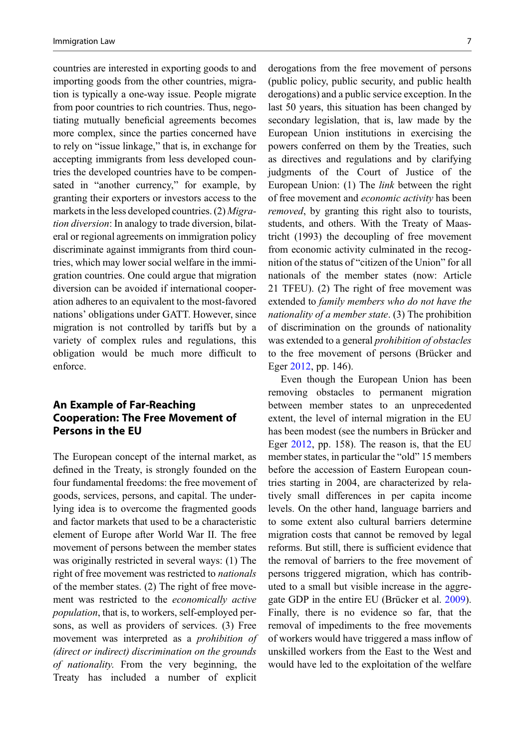countries are interested in exporting goods to and importing goods from the other countries, migration is typically a one-way issue. People migrate from poor countries to rich countries. Thus, negotiating mutually beneficial agreements becomes more complex, since the parties concerned have to rely on "issue linkage," that is, in exchange for accepting immigrants from less developed countries the developed countries have to be compensated in "another currency," for example, by granting their exporters or investors access to the markets in the less developed countries. (2) Migration diversion: In analogy to trade diversion, bilateral or regional agreements on immigration policy discriminate against immigrants from third countries, which may lower social welfare in the immigration countries. One could argue that migration diversion can be avoided if international cooperation adheres to an equivalent to the most-favored nations' obligations under GATT. However, since migration is not controlled by tariffs but by a variety of complex rules and regulations, this obligation would be much more difficult to enforce.

# An Example of Far-Reaching Cooperation: The Free Movement of Persons in the EU

The European concept of the internal market, as defined in the Treaty, is strongly founded on the four fundamental freedoms: the free movement of goods, services, persons, and capital. The underlying idea is to overcome the fragmented goods and factor markets that used to be a characteristic element of Europe after World War II. The free movement of persons between the member states was originally restricted in several ways: (1) The right of free movement was restricted to nationals of the member states. (2) The right of free movement was restricted to the economically active population, that is, to workers, self-employed persons, as well as providers of services. (3) Free movement was interpreted as a *prohibition of* (direct or indirect) discrimination on the grounds of nationality. From the very beginning, the Treaty has included a number of explicit

derogations from the free movement of persons (public policy, public security, and public health derogations) and a public service exception. In the last 50 years, this situation has been changed by secondary legislation, that is, law made by the European Union institutions in exercising the powers conferred on them by the Treaties, such as directives and regulations and by clarifying judgments of the Court of Justice of the European Union: (1) The link between the right of free movement and economic activity has been removed, by granting this right also to tourists, students, and others. With the Treaty of Maastricht (1993) the decoupling of free movement from economic activity culminated in the recognition of the status of "citizen of the Union" for all nationals of the member states (now: Article 21 TFEU). (2) The right of free movement was extended to family members who do not have the nationality of a member state. (3) The prohibition of discrimination on the grounds of nationality was extended to a general *prohibition of obstacles* to the free movement of persons (Brücker and Eger [2012](#page-8-0), pp. 146).

Even though the European Union has been removing obstacles to permanent migration between member states to an unprecedented extent, the level of internal migration in the EU has been modest (see the numbers in Brücker and Eger [2012,](#page-8-0) pp. 158). The reason is, that the EU member states, in particular the "old" 15 members before the accession of Eastern European countries starting in 2004, are characterized by relatively small differences in per capita income levels. On the other hand, language barriers and to some extent also cultural barriers determine migration costs that cannot be removed by legal reforms. But still, there is sufficient evidence that the removal of barriers to the free movement of persons triggered migration, which has contributed to a small but visible increase in the aggregate GDP in the entire EU (Brücker et al. [2009\)](#page-8-0). Finally, there is no evidence so far, that the removal of impediments to the free movements of workers would have triggered a mass inflow of unskilled workers from the East to the West and would have led to the exploitation of the welfare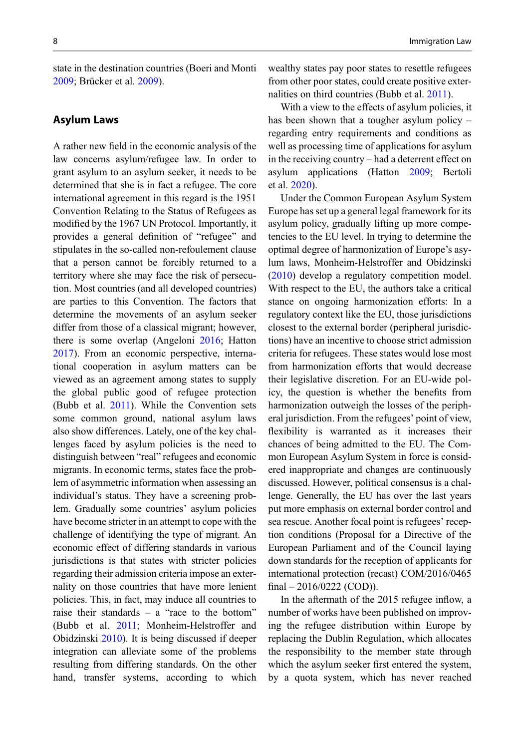state in the destination countries (Boeri and Monti [2009;](#page-8-0) Brücker et al. [2009](#page-8-0)).

## Asylum Laws

A rather new field in the economic analysis of the law concerns asylum/refugee law. In order to grant asylum to an asylum seeker, it needs to be determined that she is in fact a refugee. The core international agreement in this regard is the 1951 Convention Relating to the Status of Refugees as modified by the 1967 UN Protocol. Importantly, it provides a general definition of "refugee" and stipulates in the so-called non-refoulement clause that a person cannot be forcibly returned to a territory where she may face the risk of persecution. Most countries (and all developed countries) are parties to this Convention. The factors that determine the movements of an asylum seeker differ from those of a classical migrant; however, there is some overlap (Angeloni [2016](#page-8-0); Hatton [2017\)](#page-9-0). From an economic perspective, international cooperation in asylum matters can be viewed as an agreement among states to supply the global public good of refugee protection (Bubb et al. [2011\)](#page-8-0). While the Convention sets some common ground, national asylum laws also show differences. Lately, one of the key challenges faced by asylum policies is the need to distinguish between "real" refugees and economic migrants. In economic terms, states face the problem of asymmetric information when assessing an individual's status. They have a screening problem. Gradually some countries' asylum policies have become stricter in an attempt to cope with the challenge of identifying the type of migrant. An economic effect of differing standards in various jurisdictions is that states with stricter policies regarding their admission criteria impose an externality on those countries that have more lenient policies. This, in fact, may induce all countries to raise their standards  $-$  a "race to the bottom" (Bubb et al. [2011;](#page-8-0) Monheim-Helstroffer and Obidzinski [2010\)](#page-9-0). It is being discussed if deeper integration can alleviate some of the problems resulting from differing standards. On the other hand, transfer systems, according to which wealthy states pay poor states to resettle refugees from other poor states, could create positive externalities on third countries (Bubb et al. [2011](#page-8-0)).

With a view to the effects of asylum policies, it has been shown that a tougher asylum policy – regarding entry requirements and conditions as well as processing time of applications for asylum in the receiving country – had a deterrent effect on asylum applications (Hatton [2009;](#page-9-0) Bertoli et al. [2020\)](#page-8-0).

Under the Common European Asylum System Europe has set up a general legal framework for its asylum policy, gradually lifting up more competencies to the EU level. In trying to determine the optimal degree of harmonization of Europe's asylum laws, Monheim-Helstroffer and Obidzinski [\(2010](#page-9-0)) develop a regulatory competition model. With respect to the EU, the authors take a critical stance on ongoing harmonization efforts: In a regulatory context like the EU, those jurisdictions closest to the external border (peripheral jurisdictions) have an incentive to choose strict admission criteria for refugees. These states would lose most from harmonization efforts that would decrease their legislative discretion. For an EU-wide policy, the question is whether the benefits from harmonization outweigh the losses of the peripheral jurisdiction. From the refugees' point of view, flexibility is warranted as it increases their chances of being admitted to the EU. The Common European Asylum System in force is considered inappropriate and changes are continuously discussed. However, political consensus is a challenge. Generally, the EU has over the last years put more emphasis on external border control and sea rescue. Another focal point is refugees' reception conditions (Proposal for a Directive of the European Parliament and of the Council laying down standards for the reception of applicants for international protection (recast) COM/2016/0465 final  $-2016/0222$  (COD)).

In the aftermath of the 2015 refugee inflow, a number of works have been published on improving the refugee distribution within Europe by replacing the Dublin Regulation, which allocates the responsibility to the member state through which the asylum seeker first entered the system, by a quota system, which has never reached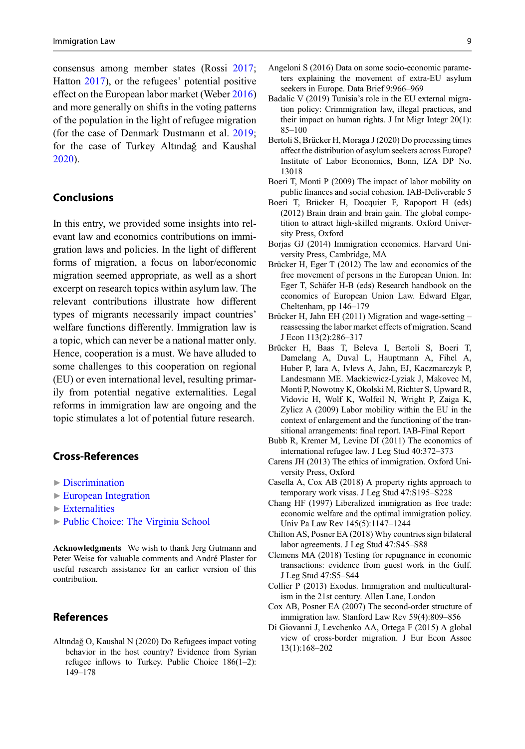<span id="page-8-0"></span>consensus among member states (Rossi [2017;](#page-9-0) Hatton [2017](#page-9-0)), or the refugees' potential positive effect on the European labor market (Weber [2016](#page-9-0)) and more generally on shifts in the voting patterns of the population in the light of refugee migration (for the case of Denmark Dustmann et al. [2019;](#page-9-0) for the case of Turkey Altındağ and Kaushal 2020).

### Conclusions

In this entry, we provided some insights into relevant law and economics contributions on immigration laws and policies. In the light of different forms of migration, a focus on labor/economic migration seemed appropriate, as well as a short excerpt on research topics within asylum law. The relevant contributions illustrate how different types of migrants necessarily impact countries' welfare functions differently. Immigration law is a topic, which can never be a national matter only. Hence, cooperation is a must. We have alluded to some challenges to this cooperation on regional (EU) or even international level, resulting primarily from potential negative externalities. Legal reforms in immigration law are ongoing and the topic stimulates a lot of potential future research.

## Cross-References

- $\triangleright$  [Discrimination](http://link.springer.com/search?facet-eisbn=978-1-4614-7883-6&facet-content-type=ReferenceWorkEntry&query=Discrimination)
- ▶ [European Integration](http://link.springer.com/search?facet-eisbn=978-1-4614-7883-6&facet-content-type=ReferenceWorkEntry&query=European Integration)
- $\triangleright$  [Externalities](http://link.springer.com/search?facet-eisbn=978-1-4614-7883-6&facet-content-type=ReferenceWorkEntry&query=Externalities)
- ▶ [Public Choice: The Virginia School](http://link.springer.com/search?facet-eisbn=978-1-4614-7883-6&facet-content-type=ReferenceWorkEntry&query=Public Choice: The Virginia School)

Acknowledgments We wish to thank Jerg Gutmann and Peter Weise for valuable comments and André Plaster for useful research assistance for an earlier version of this contribution.

# **References**

Altındağ O, Kaushal N (2020) Do Refugees impact voting behavior in the host country? Evidence from Syrian refugee inflows to Turkey. Public Choice 186(1–2): 149–178

- Angeloni S (2016) Data on some socio-economic parameters explaining the movement of extra-EU asylum seekers in Europe. Data Brief 9:966–969
- Badalic V (2019) Tunisia's role in the EU external migration policy: Crimmigration law, illegal practices, and their impact on human rights. J Int Migr Integr 20(1): 85–100
- Bertoli S, Brücker H, Moraga J (2020) Do processing times affect the distribution of asylum seekers across Europe? Institute of Labor Economics, Bonn, IZA DP No. 13018
- Boeri T, Monti P (2009) The impact of labor mobility on public finances and social cohesion. IAB-Deliverable 5
- Boeri T, Brücker H, Docquier F, Rapoport H (eds) (2012) Brain drain and brain gain. The global competition to attract high-skilled migrants. Oxford University Press, Oxford
- Borjas GJ (2014) Immigration economics. Harvard University Press, Cambridge, MA
- Brücker H, Eger T (2012) The law and economics of the free movement of persons in the European Union. In: Eger T, Schäfer H-B (eds) Research handbook on the economics of European Union Law. Edward Elgar, Cheltenham, pp 146–179
- Brücker H, Jahn EH (2011) Migration and wage-setting reassessing the labor market effects of migration. Scand J Econ 113(2):286–317
- Brücker H, Baas T, Beleva I, Bertoli S, Boeri T, Damelang A, Duval L, Hauptmann A, Fihel A, Huber P, Iara A, Ivlevs A, Jahn, EJ, Kaczmarczyk P, Landesmann ME. Mackiewicz-Lyziak J, Makovec M, Monti P, Nowotny K, Okolski M, Richter S, Upward R, Vidovic H, Wolf K, Wolfeil N, Wright P, Zaiga K, Zylicz A (2009) Labor mobility within the EU in the context of enlargement and the functioning of the transitional arrangements: final report. IAB-Final Report
- Bubb R, Kremer M, Levine DI (2011) The economics of international refugee law. J Leg Stud 40:372–373
- Carens JH (2013) The ethics of immigration. Oxford University Press, Oxford
- Casella A, Cox AB (2018) A property rights approach to temporary work visas. J Leg Stud 47:S195–S228
- Chang HF (1997) Liberalized immigration as free trade: economic welfare and the optimal immigration policy. Univ Pa Law Rev 145(5):1147–1244
- Chilton AS, Posner EA (2018) Why countries sign bilateral labor agreements. J Leg Stud 47:S45–S88
- Clemens MA (2018) Testing for repugnance in economic transactions: evidence from guest work in the Gulf. J Leg Stud 47:S5–S44
- Collier P (2013) Exodus. Immigration and multiculturalism in the 21st century. Allen Lane, London
- Cox AB, Posner EA (2007) The second-order structure of immigration law. Stanford Law Rev 59(4):809–856
- Di Giovanni J, Levchenko AA, Ortega F (2015) A global view of cross-border migration. J Eur Econ Assoc 13(1):168–202